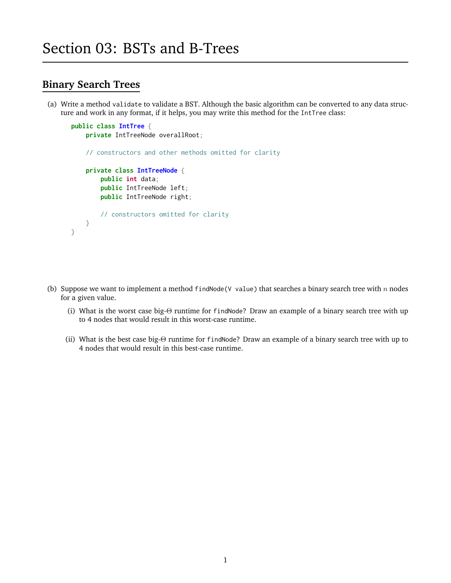## **Binary Search Trees**

(a) Write a method validate to validate a BST. Although the basic algorithm can be converted to any data structure and work in any format, if it helps, you may write this method for the IntTree class:

```
public class IntTree {
   private IntTreeNode overallRoot;
   // constructors and other methods omitted for clarity
   private class IntTreeNode {
        public int data;
        public IntTreeNode left;
        public IntTreeNode right;
        // constructors omitted for clarity
   }
}
```
- (b) Suppose we want to implement a method findNode(V value) that searches a binary search tree with  $n$  nodes for a given value.
	- (i) What is the worst case big-Θ runtime for findNode? Draw an example of a binary search tree with up to 4 nodes that would result in this worst-case runtime.
	- (ii) What is the best case big-Θ runtime for findNode? Draw an example of a binary search tree with up to 4 nodes that would result in this best-case runtime.